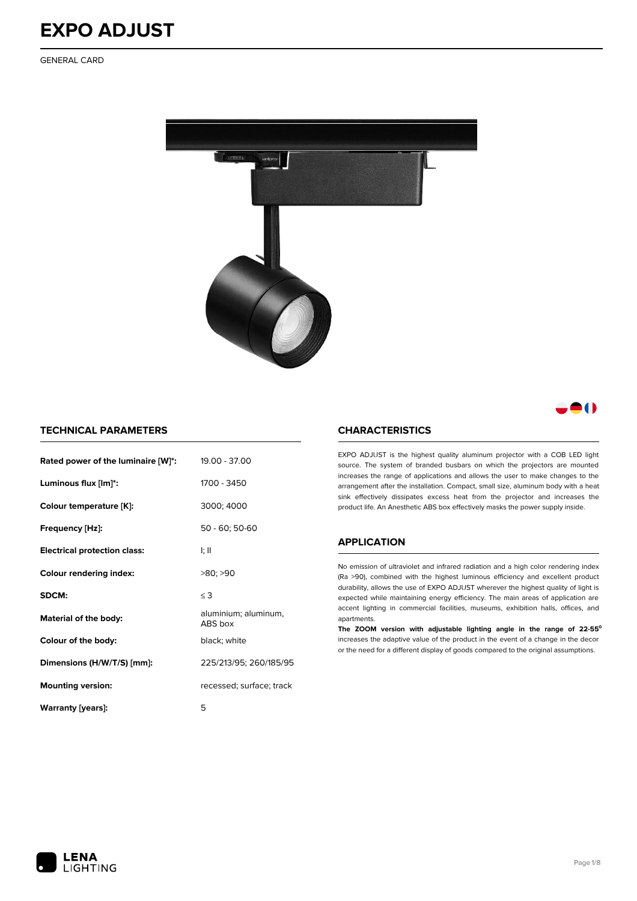GENERAL CARD



### 80

#### **TECHNICAL PARAMETERS**

| Rated power of the luminaire [W]*:  | 19.00 - 37.00                   |
|-------------------------------------|---------------------------------|
| Luminous flux [lm]*:                | 1700 - 3450                     |
| Colour temperature [K]:             | 3000; 4000                      |
| Frequency [Hz]:                     | 50 - 60; 50-60                  |
| <b>Electrical protection class:</b> | I; II                           |
| <b>Colour rendering index:</b>      | >80; >90                        |
| SDCM:                               | $\leq$ 3                        |
| Material of the body:               | aluminium; aluminum,<br>ABS box |
| Colour of the body:                 | black; white                    |
| Dimensions (H/W/T/S) [mm]:          | 225/213/95; 260/185/95          |
| <b>Mounting version:</b>            |                                 |
|                                     | recessed; surface; track        |

#### **CHARACTERISTICS**

EXPO ADJUST is the highest quality aluminum projector with a COB LED light source. The system of branded busbars on which the projectors are mounted increases the range of applications and allows the user to make changes to the arrangement after the installation. Compact, small size, aluminum body with a heat sink effectively dissipates excess heat from the projector and increases the product life. An Anesthetic ABS box effectively masks the power supply inside.

#### **APPLICATION**

No emission of ultraviolet and infrared radiation and a high color rendering index (Ra >90), combined with the highest luminous efficiency and excellent product durability, allows the use of EXPO ADJUST wherever the highest quality of light is expected while maintaining energy efficiency. The main areas of application are accent lighting in commercial facilities, museums, exhibition halls, offices, and apartments.

**The ZOOM version with adjustable lighting angle in the range of 22-55⁰** increases the adaptive value of the product in the event of a change in the decor or the need for a different display of goods compared to the original assumptions.

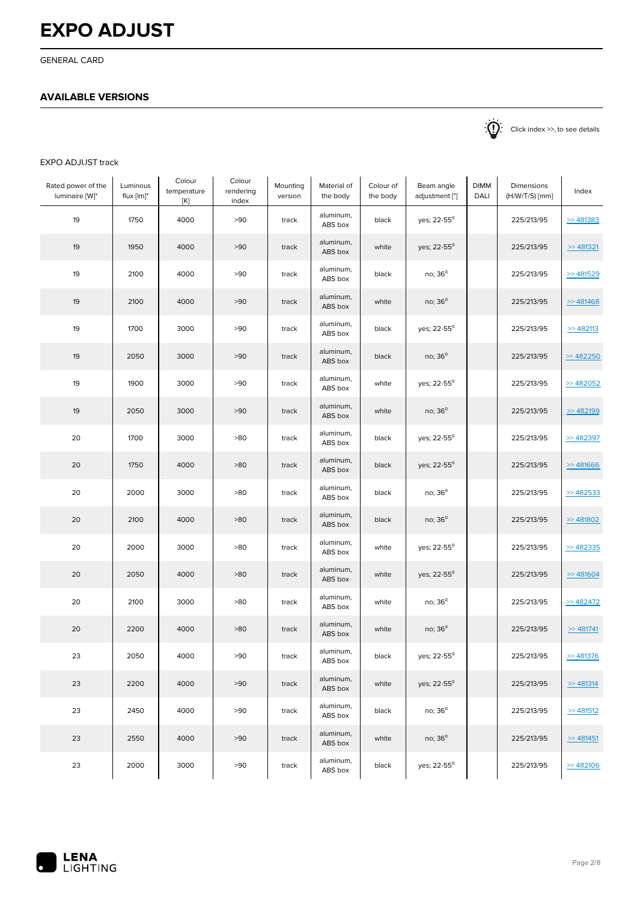GENERAL CARD

#### **AVAILABLE VERSIONS**

 $\sum_{n=1}^{\infty}$  Click index >>, to see details

#### EXPO ADJUST track

| Rated power of the<br>luminaire [W]* | Luminous<br>$flux[lm]^*$ | Colour<br>temperature<br>[K] | Colour<br>rendering<br>index | Mounting<br>version | Material of<br>the body | Colour of<br>the body | Beam angle<br>adjustment [°] | <b>DIMM</b><br>DALI | Dimensions<br>(H/W/T/S) [mm] | Index         |
|--------------------------------------|--------------------------|------------------------------|------------------------------|---------------------|-------------------------|-----------------------|------------------------------|---------------------|------------------------------|---------------|
| 19                                   | 1750                     | 4000                         | >90                          | track               | aluminum,<br>ABS box    | black                 | yes; 22-55 <sup>0</sup>      |                     | 225/213/95                   | > 481383      |
| 19                                   | 1950                     | 4000                         | >90                          | track               | aluminum,<br>ABS box    | white                 | yes; 22-55 <sup>0</sup>      |                     | 225/213/95                   | > 481321      |
| 19                                   | 2100                     | 4000                         | >90                          | track               | aluminum,<br>ABS box    | black                 | no; $36^\circ$               |                     | 225/213/95                   | > 481529      |
| 19                                   | 2100                     | 4000                         | >90                          | track               | aluminum,<br>ABS box    | white                 | no; $36^\circ$               |                     | 225/213/95                   | > 481468      |
| 19                                   | 1700                     | 3000                         | >90                          | track               | aluminum,<br>ABS box    | black                 | yes; 22-55 <sup>0</sup>      |                     | 225/213/95                   | > 482113      |
| 19                                   | 2050                     | 3000                         | >90                          | track               | aluminum,<br>ABS box    | black                 | no; $36^\circ$               |                     | 225/213/95                   | > 482250      |
| 19                                   | 1900                     | 3000                         | >90                          | track               | aluminum,<br>ABS box    | white                 | yes; 22-55 <sup>0</sup>      |                     | 225/213/95                   | >482052       |
| 19                                   | 2050                     | 3000                         | >90                          | track               | aluminum,<br>ABS box    | white                 | no; $36^\circ$               |                     | 225/213/95                   | > 482199      |
| 20                                   | 1700                     | 3000                         | >80                          | track               | aluminum,<br>ABS box    | black                 | yes; 22-55 <sup>0</sup>      |                     | 225/213/95                   | >482397       |
| 20                                   | 1750                     | 4000                         | $>80$                        | track               | aluminum,<br>ABS box    | black                 | yes; 22-55 <sup>0</sup>      |                     | 225/213/95                   | > 481666      |
| 20                                   | 2000                     | 3000                         | >80                          | track               | aluminum,<br>ABS box    | black                 | no; 36 <sup>0</sup>          |                     | 225/213/95                   | >482533       |
| 20                                   | 2100                     | 4000                         | $>80$                        | track               | aluminum,<br>ABS box    | black                 | no; $36^\circ$               |                     | 225/213/95                   | > 481802      |
| 20                                   | 2000                     | 3000                         | >80                          | track               | aluminum,<br>ABS box    | white                 | yes; 22-55 <sup>0</sup>      |                     | 225/213/95                   | >482335       |
| 20                                   | 2050                     | 4000                         | >80                          | track               | aluminum,<br>ABS box    | white                 | yes; 22-55 <sup>0</sup>      |                     | 225/213/95                   | > 481604      |
| 20                                   | 2100                     | 3000                         | >80                          | track               | aluminum,<br>ABS box    | white                 | no; $36^\circ$               |                     | 225/213/95                   | >482472       |
| 20                                   | 2200                     | 4000                         | >80                          | track               | aluminum,<br>ABS box    | white                 | no; $36^\circ$               |                     | 225/213/95                   | > 481741      |
| 23                                   | 2050                     | 4000                         | >90                          | track               | aluminum,<br>ABS box    | black                 | yes; $22 - 55^{\circ}$       |                     | 225/213/95                   | > 481376      |
| 23                                   | 2200                     | 4000                         | >90                          | track               | aluminum,<br>ABS box    | white                 | yes; 22-55 <sup>0</sup>      |                     | 225/213/95                   | $\geq$ 481314 |
| 23                                   | 2450                     | 4000                         | >90                          | track               | aluminum,<br>ABS box    | black                 | no; $36^\circ$               |                     | 225/213/95                   | > 481512      |
| 23                                   | 2550                     | 4000                         | >90                          | track               | aluminum,<br>ABS box    | white                 | $no; 36^0$                   |                     | 225/213/95                   | $\geq$ 481451 |
| 23                                   | 2000                     | 3000                         | >90                          | track               | aluminum,<br>ABS box    | black                 | yes; 22-55 <sup>0</sup>      |                     | 225/213/95                   | > 482106      |

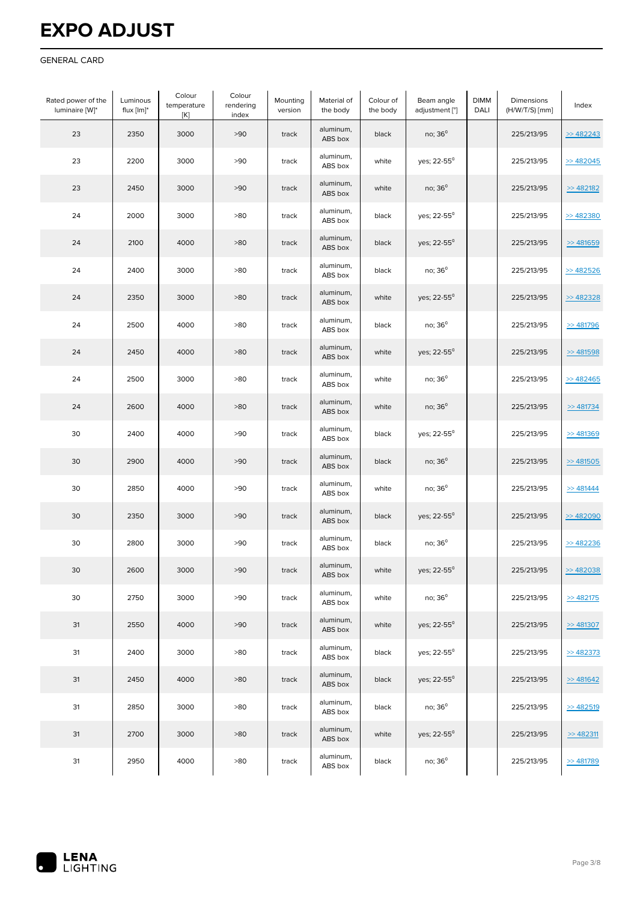#### GENERAL CARD

| Rated power of the<br>luminaire [W]* | Luminous<br>flux [lm]* | Colour<br>temperature<br>[K] | Colour<br>rendering<br>index | Mounting<br>version | Material of<br>the body | Colour of<br>the body | Beam angle<br>adjustment [°] | <b>DIMM</b><br>DALI | Dimensions<br>(H/W/T/S) [mm] | Index         |
|--------------------------------------|------------------------|------------------------------|------------------------------|---------------------|-------------------------|-----------------------|------------------------------|---------------------|------------------------------|---------------|
| 23                                   | 2350                   | 3000                         | >90                          | track               | aluminum,<br>ABS box    | black                 | no; $36^\circ$               |                     | 225/213/95                   | >482243       |
| 23                                   | 2200                   | 3000                         | >90                          | track               | aluminum,<br>ABS box    | white                 | yes; 22-55 <sup>0</sup>      |                     | 225/213/95                   | >482045       |
| 23                                   | 2450                   | 3000                         | >90                          | track               | aluminum,<br>ABS box    | white                 | no; $36^\circ$               |                     | 225/213/95                   | > 482182      |
| 24                                   | 2000                   | 3000                         | >80                          | track               | aluminum,<br>ABS box    | black                 | yes; 22-55 <sup>0</sup>      |                     | 225/213/95                   | > 482380      |
| 24                                   | 2100                   | 4000                         | >80                          | track               | aluminum,<br>ABS box    | black                 | yes; 22-55 <sup>0</sup>      |                     | 225/213/95                   | > 481659      |
| 24                                   | 2400                   | 3000                         | >80                          | track               | aluminum,<br>ABS box    | black                 | no; $36^\circ$               |                     | 225/213/95                   | $>$ 482526    |
| 24                                   | 2350                   | 3000                         | >80                          | track               | aluminum,<br>ABS box    | white                 | yes; 22-55 <sup>0</sup>      |                     | 225/213/95                   | >482328       |
| 24                                   | 2500                   | 4000                         | $>80$                        | track               | aluminum,<br>ABS box    | black                 | $no; 36^{\circ}$             |                     | 225/213/95                   | > 481796      |
| 24                                   | 2450                   | 4000                         | $>80$                        | track               | aluminum,<br>ABS box    | white                 | yes; 22-55 <sup>0</sup>      |                     | 225/213/95                   | >481598       |
| 24                                   | 2500                   | 3000                         | >80                          | track               | aluminum,<br>ABS box    | white                 | no; 36 <sup>0</sup>          |                     | 225/213/95                   | > 482465      |
| 24                                   | 2600                   | 4000                         | >80                          | track               | aluminum,<br>ABS box    | white                 | no; 36 <sup>0</sup>          |                     | 225/213/95                   | $\geq$ 481734 |
| 30                                   | 2400                   | 4000                         | >90                          | track               | aluminum,<br>ABS box    | black                 | yes; 22-55 <sup>0</sup>      |                     | 225/213/95                   | > 481369      |
| 30                                   | 2900                   | 4000                         | >90                          | track               | aluminum,<br>ABS box    | black                 | no; 36 <sup>0</sup>          |                     | 225/213/95                   | >481505       |
| 30                                   | 2850                   | 4000                         | >90                          | track               | aluminum,<br>ABS box    | white                 | no; $36^\circ$               |                     | 225/213/95                   | > 481444      |
| 30                                   | 2350                   | 3000                         | >90                          | track               | aluminum,<br>ABS box    | black                 | yes; 22-55 <sup>0</sup>      |                     | 225/213/95                   | > 482090      |
| 30                                   | 2800                   | 3000                         | >90                          | track               | aluminum,<br>ABS box    | black                 | no; $36^\circ$               |                     | 225/213/95                   | > 482236      |
| 30                                   | 2600                   | 3000                         | >90                          | track               | aluminum,<br>ABS box    | white                 | yes; 22-55 <sup>0</sup>      |                     | 225/213/95                   | >482038       |
| 30                                   | 2750                   | 3000                         | >90                          | track               | aluminum,<br>ABS box    | white                 | no; $36^\circ$               |                     | 225/213/95                   | >482175       |
| 31                                   | 2550                   | 4000                         | >90                          | track               | aluminum,<br>ABS box    | white                 | yes; 22-55 <sup>0</sup>      |                     | 225/213/95                   | > 481307      |
| 31                                   | 2400                   | 3000                         | >80                          | track               | aluminum,<br>ABS box    | black                 | yes; 22-55 <sup>0</sup>      |                     | 225/213/95                   | >482373       |
| 31                                   | 2450                   | 4000                         | >80                          | track               | aluminum,<br>ABS box    | black                 | yes; $22 - 55^{\circ}$       |                     | 225/213/95                   | > 481642      |
| 31                                   | 2850                   | 3000                         | >80                          | track               | aluminum,<br>ABS box    | black                 | no; 36 <sup>0</sup>          |                     | 225/213/95                   | > 482519      |
| 31                                   | 2700                   | 3000                         | >80                          | track               | aluminum,<br>ABS box    | white                 | yes; 22-55 <sup>0</sup>      |                     | 225/213/95                   | > 482311      |
| 31                                   | 2950                   | 4000                         | >80                          | track               | aluminum,<br>ABS box    | black                 | no; 36 <sup>0</sup>          |                     | 225/213/95                   | > 481789      |

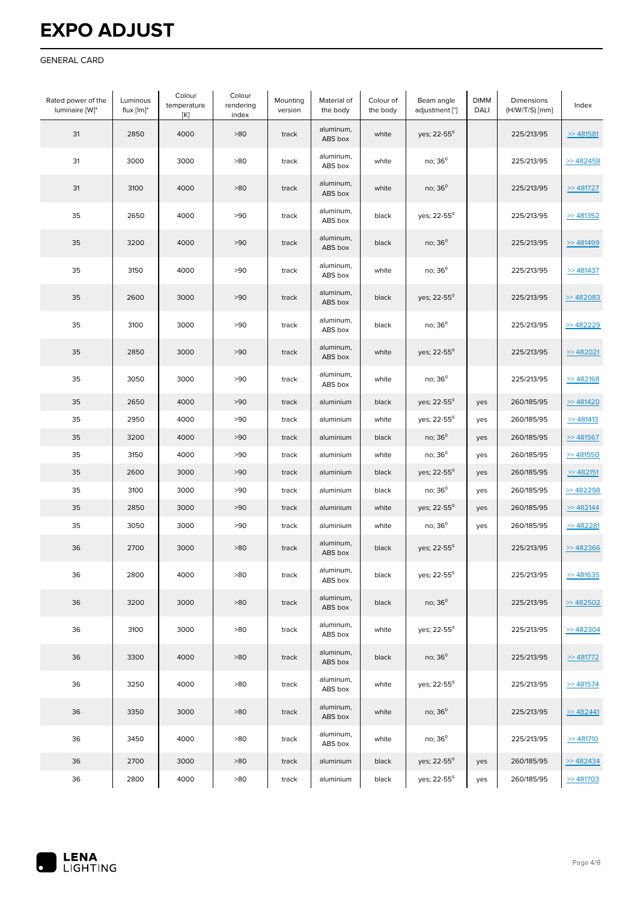#### GENERAL CARD

| Rated power of the<br>luminaire [W]* | Luminous<br>flux $[Im]^*$ | Colour<br>temperature<br>[K] | Colour<br>rendering<br>index | Mounting<br>version | Material of<br>the body | Colour of<br>the body | Beam angle<br>adjustment [°] | <b>DIMM</b><br>DALI | Dimensions<br>(H/W/T/S) [mm] | Index         |
|--------------------------------------|---------------------------|------------------------------|------------------------------|---------------------|-------------------------|-----------------------|------------------------------|---------------------|------------------------------|---------------|
| 31                                   | 2850                      | 4000                         | >80                          | track               | aluminum,<br>ABS box    | white                 | yes; 22-55 <sup>0</sup>      |                     | 225/213/95                   | $\gg$ 481581  |
| 31                                   | 3000                      | 3000                         | >80                          | track               | aluminum,<br>ABS box    | white                 | no; $36^\circ$               |                     | 225/213/95                   | > 482458      |
| 31                                   | 3100                      | 4000                         | >80                          | track               | aluminum,<br>ABS box    | white                 | no; 36 <sup>0</sup>          |                     | 225/213/95                   | $\geq$ 481727 |
| 35                                   | 2650                      | 4000                         | >90                          | track               | aluminum,<br>ABS box    | black                 | yes; 22-55 <sup>0</sup>      |                     | 225/213/95                   | > 481352      |
| 35                                   | 3200                      | 4000                         | >90                          | track               | aluminum,<br>ABS box    | black                 | no; $36^\circ$               |                     | 225/213/95                   | > 481499      |
| 35                                   | 3150                      | 4000                         | >90                          | track               | aluminum,<br>ABS box    | white                 | no; $36^\circ$               |                     | 225/213/95                   | > 481437      |
| 35                                   | 2600                      | 3000                         | >90                          | track               | aluminum,<br>ABS box    | black                 | yes; 22-55 <sup>0</sup>      |                     | 225/213/95                   | > 482083      |
| 35                                   | 3100                      | 3000                         | >90                          | track               | aluminum,<br>ABS box    | black                 | no; $36^\circ$               |                     | 225/213/95                   | >482229       |
| 35                                   | 2850                      | 3000                         | >90                          | track               | aluminum,<br>ABS box    | white                 | yes; 22-55 <sup>0</sup>      |                     | 225/213/95                   | $>$ 482021    |
| 35                                   | 3050                      | 3000                         | >90                          | track               | aluminum,<br>ABS box    | white                 | no; 36 <sup>0</sup>          |                     | 225/213/95                   | > 482168      |
| 35                                   | 2650                      | 4000                         | >90                          | track               | aluminium               | black                 | yes; 22-55 <sup>0</sup>      | yes                 | 260/185/95                   | > 481420      |
| 35                                   | 2950                      | 4000                         | >90                          | track               | aluminium               | white                 | yes; 22-55 <sup>0</sup>      | yes                 | 260/185/95                   | > 481413      |
| 35                                   | 3200                      | 4000                         | >90                          | track               | aluminium               | black                 | $no; 36^{\circ}$             | yes                 | 260/185/95                   | > 481567      |
| 35                                   | 3150                      | 4000                         | >90                          | track               | aluminium               | white                 | no; 36 <sup>0</sup>          | yes                 | 260/185/95                   | > 481550      |
| 35                                   | 2600                      | 3000                         | >90                          | track               | aluminium               | black                 | yes; 22-55 <sup>0</sup>      | yes                 | 260/185/95                   | > 482151      |
| 35                                   | 3100                      | 3000                         | >90                          | track               | aluminium               | black                 | no; 36 <sup>0</sup>          | yes                 | 260/185/95                   | > 482298      |
| 35                                   | 2850                      | 3000                         | >90                          | track               | aluminium               | white                 | yes; 22-55 <sup>0</sup>      | yes                 | 260/185/95                   | > 482144      |
| 35                                   | 3050                      | 3000                         | >90                          | track               | aluminium               | white                 | no; 36 <sup>0</sup>          | yes                 | 260/185/95                   | > 482281      |
| 36                                   | 2700                      | 3000                         | >80                          | track               | aluminum,<br>ABS box    | black                 | yes; 22-55 <sup>0</sup>      |                     | 225/213/95                   | $>$ 482366    |
| 36                                   | 2800                      | 4000                         | >80                          | track               | aluminum,<br>ABS box    | black                 | yes; 22-55 <sup>0</sup>      |                     | 225/213/95                   | > 481635      |
| 36                                   | 3200                      | 3000                         | >80                          | track               | aluminum,<br>ABS box    | black                 | no; $36^\circ$               |                     | 225/213/95                   | >482502       |
| 36                                   | 3100                      | 3000                         | >80                          | track               | aluminum,<br>ABS box    | white                 | yes; 22-55 <sup>0</sup>      |                     | 225/213/95                   | > 482304      |
| 36                                   | 3300                      | 4000                         | >80                          | track               | aluminum,<br>ABS box    | black                 | no; $36^\circ$               |                     | 225/213/95                   | >481772       |
| 36                                   | 3250                      | 4000                         | >80                          | track               | aluminum,<br>ABS box    | white                 | yes; 22-55 <sup>0</sup>      |                     | 225/213/95                   | $\geq$ 481574 |
| 36                                   | 3350                      | 3000                         | >80                          | track               | aluminum,<br>ABS box    | white                 | no; $36^\circ$               |                     | 225/213/95                   | > 482441      |
| 36                                   | 3450                      | 4000                         | >80                          | track               | aluminum,<br>ABS box    | white                 | no; 36 <sup>0</sup>          |                     | 225/213/95                   | $\geq$ 481710 |
| 36                                   | 2700                      | 3000                         | >80                          | track               | aluminium               | black                 | yes; 22-55 <sup>0</sup>      | yes                 | 260/185/95                   | > 482434      |
| 36                                   | 2800                      | 4000                         | >80                          | track               | aluminium               | black                 | yes; 22-55 <sup>0</sup>      | yes                 | 260/185/95                   | > 481703      |

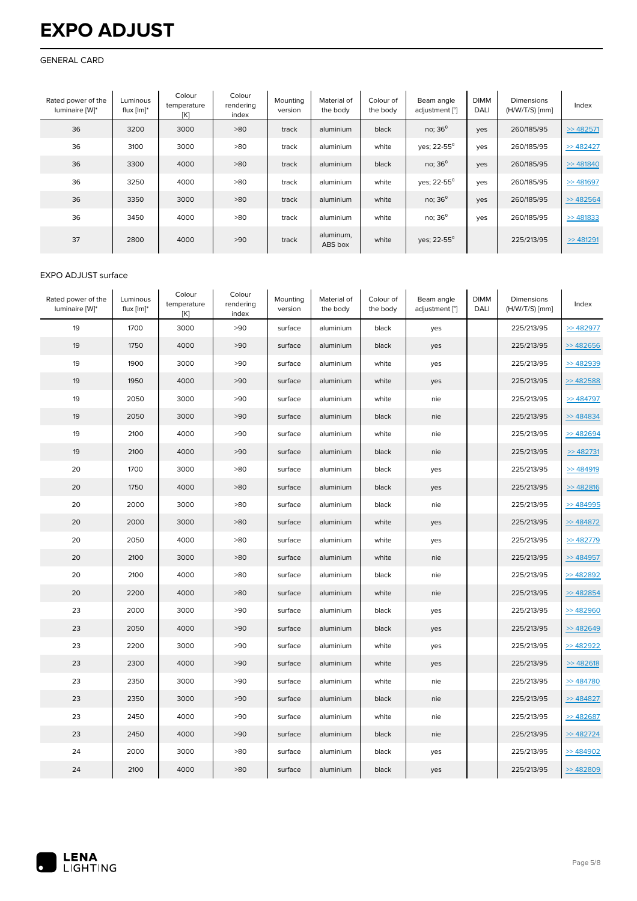#### GENERAL CARD

| Rated power of the<br>luminaire [W]* | Luminous<br>flux $[Im]^*$ | Colour<br>temperature<br>[K] | Colour<br>rendering<br>index | Mounting<br>version | Material of<br>the body | Colour of<br>the body | Beam angle<br>adjustment [°] | <b>DIMM</b><br><b>DALI</b> | Dimensions<br>$(H/W/T/S)$ [mm] | Index        |
|--------------------------------------|---------------------------|------------------------------|------------------------------|---------------------|-------------------------|-----------------------|------------------------------|----------------------------|--------------------------------|--------------|
| 36                                   | 3200                      | 3000                         | >80                          | track               | aluminium               | black                 | no; $36^\circ$               | yes                        | 260/185/95                     | $\gg$ 482571 |
| 36                                   | 3100                      | 3000                         | >80                          | track               | aluminium               | white                 | ves; 22-55 <sup>0</sup>      | yes                        | 260/185/95                     | >482427      |
| 36                                   | 3300                      | 4000                         | >80                          | track               | aluminium               | black                 | no; $36^\circ$               | yes                        | 260/185/95                     | $\gg$ 481840 |
| 36                                   | 3250                      | 4000                         | >80                          | track               | aluminium               | white                 | yes; 22-55 <sup>0</sup>      | yes                        | 260/185/95                     | $\gg$ 481697 |
| 36                                   | 3350                      | 3000                         | >80                          | track               | aluminium               | white                 | no; $36^\circ$               | yes                        | 260/185/95                     | > 482564     |
| 36                                   | 3450                      | 4000                         | >80                          | track               | aluminium               | white                 | no; $36^\circ$               | yes                        | 260/185/95                     | > 481833     |
| 37                                   | 2800                      | 4000                         | >90                          | track               | aluminum,<br>ABS box    | white                 | yes; 22-55 <sup>0</sup>      |                            | 225/213/95                     | $\gg$ 481291 |

#### EXPO ADJUST surface

| Rated power of the<br>luminaire [W]* | Luminous<br>flux [lm]* | Colour<br>temperature<br>[K] | Colour<br>rendering<br>index | Mounting<br>version | Material of<br>the body | Colour of<br>the body | Beam angle<br>adjustment [°] | <b>DIMM</b><br>DALI | Dimensions<br>$(H/W/T/S)$ [mm] | Index      |
|--------------------------------------|------------------------|------------------------------|------------------------------|---------------------|-------------------------|-----------------------|------------------------------|---------------------|--------------------------------|------------|
| 19                                   | 1700                   | 3000                         | >90                          | surface             | aluminium               | black                 | yes                          |                     | 225/213/95                     | >482977    |
| 19                                   | 1750                   | 4000                         | >90                          | surface             | aluminium               | black                 | yes                          |                     | 225/213/95                     | $>$ 482656 |
| 19                                   | 1900                   | 3000                         | >90                          | surface             | aluminium               | white                 | yes                          |                     | 225/213/95                     | >482939    |
| 19                                   | 1950                   | 4000                         | >90                          | surface             | aluminium               | white                 | yes                          |                     | 225/213/95                     | >482588    |
| 19                                   | 2050                   | 3000                         | >90                          | surface             | aluminium               | white                 | nie                          |                     | 225/213/95                     | > 484797   |
| 19                                   | 2050                   | 3000                         | >90                          | surface             | aluminium               | black                 | nie                          |                     | 225/213/95                     | > 484834   |
| 19                                   | 2100                   | 4000                         | >90                          | surface             | aluminium               | white                 | nie                          |                     | 225/213/95                     | $>$ 482694 |
| 19                                   | 2100                   | 4000                         | >90                          | surface             | aluminium               | black                 | nie                          |                     | 225/213/95                     | > 482731   |
| 20                                   | 1700                   | 3000                         | >80                          | surface             | aluminium               | black                 | yes                          |                     | 225/213/95                     | > 484919   |
| 20                                   | 1750                   | 4000                         | >80                          | surface             | aluminium               | black                 | yes                          |                     | 225/213/95                     | > 482816   |
| 20                                   | 2000                   | 3000                         | >80                          | surface             | aluminium               | black                 | nie                          |                     | 225/213/95                     | >484995    |
| 20                                   | 2000                   | 3000                         | >80                          | surface             | aluminium               | white                 | yes                          |                     | 225/213/95                     | > 484872   |
| 20                                   | 2050                   | 4000                         | >80                          | surface             | aluminium               | white                 | yes                          |                     | 225/213/95                     | >482779    |
| 20                                   | 2100                   | 3000                         | >80                          | surface             | aluminium               | white                 | nie                          |                     | 225/213/95                     | $>$ 484957 |
| 20                                   | 2100                   | 4000                         | >80                          | surface             | aluminium               | black                 | nie                          |                     | 225/213/95                     | >482892    |
| 20                                   | 2200                   | 4000                         | >80                          | surface             | aluminium               | white                 | nie                          |                     | 225/213/95                     | $>$ 482854 |
| 23                                   | 2000                   | 3000                         | >90                          | surface             | aluminium               | black                 | yes                          |                     | 225/213/95                     | >482960    |
| 23                                   | 2050                   | 4000                         | >90                          | surface             | aluminium               | black                 | yes                          |                     | 225/213/95                     | > 482649   |
| 23                                   | 2200                   | 3000                         | >90                          | surface             | aluminium               | white                 | yes                          |                     | 225/213/95                     | $>$ 482922 |
| 23                                   | 2300                   | 4000                         | >90                          | surface             | aluminium               | white                 | yes                          |                     | 225/213/95                     | > 482618   |
| 23                                   | 2350                   | 3000                         | >90                          | surface             | aluminium               | white                 | nie                          |                     | 225/213/95                     | > 484780   |
| 23                                   | 2350                   | 3000                         | >90                          | surface             | aluminium               | black                 | nie                          |                     | 225/213/95                     | > 484827   |
| 23                                   | 2450                   | 4000                         | >90                          | surface             | aluminium               | white                 | nie                          |                     | 225/213/95                     | >482687    |
| 23                                   | 2450                   | 4000                         | >90                          | surface             | aluminium               | black                 | nie                          |                     | 225/213/95                     | > 482724   |
| 24                                   | 2000                   | 3000                         | >80                          | surface             | aluminium               | black                 | yes                          |                     | 225/213/95                     | > 484902   |
| 24                                   | 2100                   | 4000                         | >80                          | surface             | aluminium               | black                 | yes                          |                     | 225/213/95                     | >482809    |

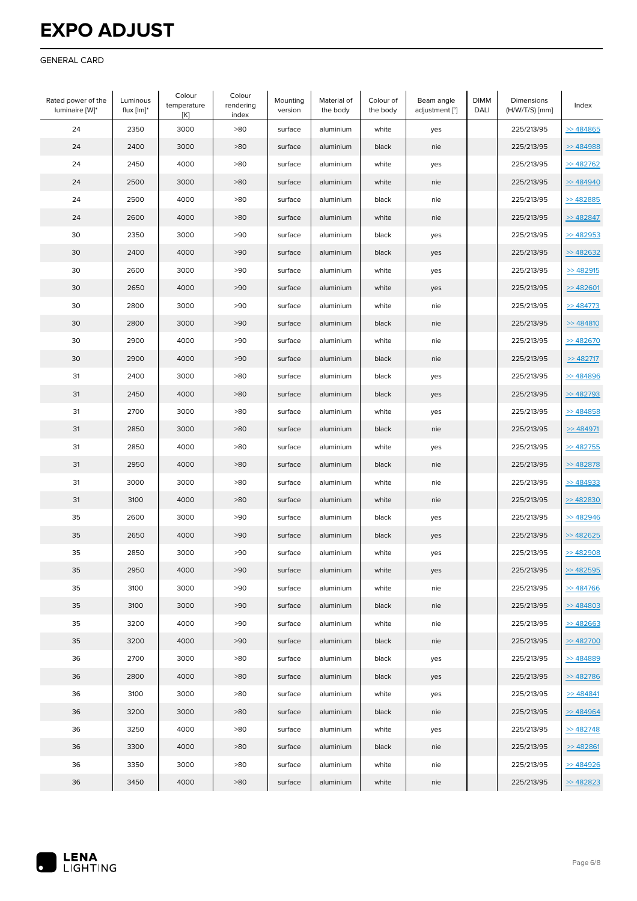#### GENERAL CARD

| Rated power of the<br>luminaire [W]* | Luminous<br>flux $[Im]^*$ | Colour<br>temperature<br>[K] | Colour<br>rendering<br>index | Mounting<br>version | Material of<br>the body | Colour of<br>the body | Beam angle<br>adjustment [°] | <b>DIMM</b><br>DALI | Dimensions<br>(H/W/T/S) [mm] | Index         |
|--------------------------------------|---------------------------|------------------------------|------------------------------|---------------------|-------------------------|-----------------------|------------------------------|---------------------|------------------------------|---------------|
| 24                                   | 2350                      | 3000                         | >80                          | surface             | aluminium               | white                 | yes                          |                     | 225/213/95                   | > 484865      |
| 24                                   | 2400                      | 3000                         | >80                          | surface             | aluminium               | black                 | nie                          |                     | 225/213/95                   | > 484988      |
| 24                                   | 2450                      | 4000                         | >80                          | surface             | aluminium               | white                 | yes                          |                     | 225/213/95                   | >482762       |
| 24                                   | 2500                      | 3000                         | >80                          | surface             | aluminium               | white                 | nie                          |                     | 225/213/95                   | > 484940      |
| 24                                   | 2500                      | 4000                         | >80                          | surface             | aluminium               | black                 | nie                          |                     | 225/213/95                   | > 482885      |
| 24                                   | 2600                      | 4000                         | >80                          | surface             | aluminium               | white                 | nie                          |                     | 225/213/95                   | $>$ 482847    |
| 30                                   | 2350                      | 3000                         | >90                          | surface             | aluminium               | black                 | yes                          |                     | 225/213/95                   | $>$ 482953    |
| 30                                   | 2400                      | 4000                         | >90                          | surface             | aluminium               | black                 | yes                          |                     | 225/213/95                   | > 482632      |
| 30                                   | 2600                      | 3000                         | >90                          | surface             | aluminium               | white                 | yes                          |                     | 225/213/95                   | >482915       |
| 30                                   | 2650                      | 4000                         | >90                          | surface             | aluminium               | white                 | yes                          |                     | 225/213/95                   | > 482601      |
| 30                                   | 2800                      | 3000                         | >90                          | surface             | aluminium               | white                 | nie                          |                     | 225/213/95                   | >484773       |
| 30                                   | 2800                      | 3000                         | >90                          | surface             | aluminium               | black                 | nie                          |                     | 225/213/95                   | > 484810      |
| 30                                   | 2900                      | 4000                         | >90                          | surface             | aluminium               | white                 | nie                          |                     | 225/213/95                   | > 482670      |
| 30                                   | 2900                      | 4000                         | >90                          | surface             | aluminium               | black                 | nie                          |                     | 225/213/95                   | $\geq$ 482717 |
| 31                                   | 2400                      | 3000                         | >80                          | surface             | aluminium               | black                 | yes                          |                     | 225/213/95                   | > 484896      |
| 31                                   | 2450                      | 4000                         | >80                          | surface             | aluminium               | black                 | yes                          |                     | 225/213/95                   | >482793       |
| 31                                   | 2700                      | 3000                         | >80                          | surface             | aluminium               | white                 | yes                          |                     | 225/213/95                   | > 484858      |
| 31                                   | 2850                      | 3000                         | >80                          | surface             | aluminium               | black                 | nie                          |                     | 225/213/95                   | > 484971      |
| 31                                   | 2850                      | 4000                         | >80                          | surface             | aluminium               | white                 | yes                          |                     | 225/213/95                   | >482755       |
| 31                                   | 2950                      | 4000                         | >80                          | surface             | aluminium               | black                 | nie                          |                     | 225/213/95                   | >482878       |
| 31                                   | 3000                      | 3000                         | >80                          | surface             | aluminium               | white                 | nie                          |                     | 225/213/95                   | > 484933      |
| 31                                   | 3100                      | 4000                         | >80                          | surface             | aluminium               | white                 | nie                          |                     | 225/213/95                   | > 482830      |
| 35                                   | 2600                      | 3000                         | >90                          | surface             | aluminium               | black                 | yes                          |                     | 225/213/95                   | > 482946      |
| 35                                   | 2650                      | 4000                         | >90                          | surface             | aluminium               | black                 | yes                          |                     | 225/213/95                   | >482625       |
| 35                                   | 2850                      | 3000                         | >90                          | surface             | aluminium               | white                 | yes                          |                     | 225/213/95                   | > 482908      |
| 35                                   | 2950                      | 4000                         | >90                          | surface             | aluminium               | white                 | yes                          |                     | 225/213/95                   | $>$ 482595    |
| 35                                   | 3100                      | 3000                         | >90                          | surface             | aluminium               | white                 | nie                          |                     | 225/213/95                   | > 484766      |
| 35                                   | 3100                      | 3000                         | >90                          | surface             | aluminium               | black                 | nie                          |                     | 225/213/95                   | > 484803      |
| 35                                   | 3200                      | 4000                         | >90                          | surface             | aluminium               | white                 | nie                          |                     | 225/213/95                   | $>$ 482663    |
| 35                                   | 3200                      | 4000                         | >90                          | surface             | aluminium               | black                 | nie                          |                     | 225/213/95                   | >482700       |
| 36                                   | 2700                      | 3000                         | >80                          | surface             | aluminium               | black                 | yes                          |                     | 225/213/95                   | > 484889      |
| 36                                   | 2800                      | 4000                         | >80                          | surface             | aluminium               | black                 | yes                          |                     | 225/213/95                   | >482786       |
| 36                                   | 3100                      | 3000                         | >80                          | surface             | aluminium               | white                 | yes                          |                     | 225/213/95                   | > 484841      |
| 36                                   | 3200                      | 3000                         | >80                          | surface             | aluminium               | black                 | nie                          |                     | 225/213/95                   | > 484964      |
| 36                                   | 3250                      | 4000                         | >80                          | surface             | aluminium               | white                 | yes                          |                     | 225/213/95                   | > 482748      |
| 36                                   | 3300                      | 4000                         | >80                          | surface             | aluminium               | black                 | nie                          |                     | 225/213/95                   | > 482861      |
| 36                                   | 3350                      | 3000                         | >80                          | surface             | aluminium               | white                 | nie                          |                     | 225/213/95                   | > 484926      |
| 36                                   | 3450                      | 4000                         | >80                          | surface             | aluminium               | white                 | nie                          |                     | 225/213/95                   | > 482823      |

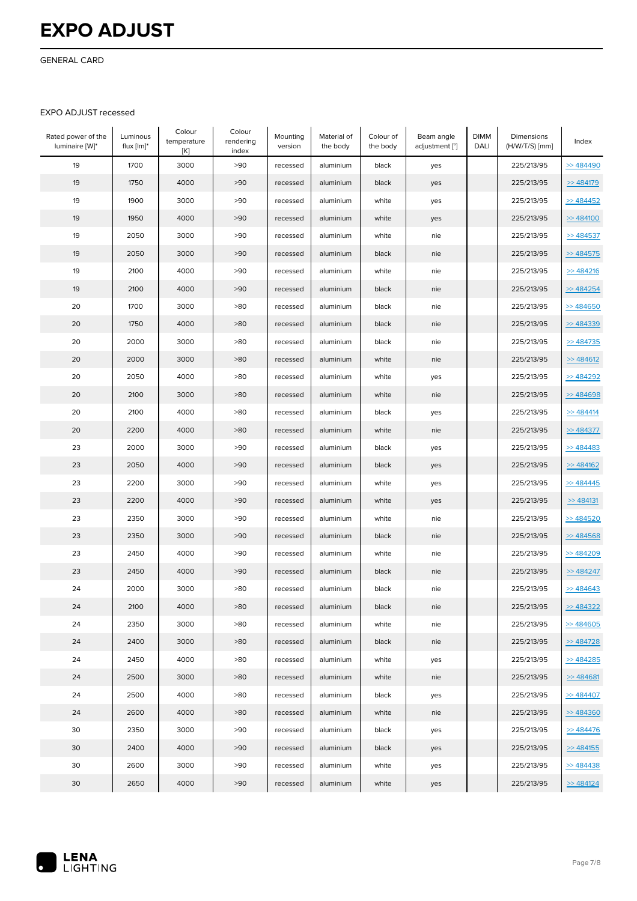GENERAL CARD

#### EXPO ADJUST recessed

| Rated power of the<br>luminaire [W]* | Luminous<br>flux $[Im]^*$ | Colour<br>temperature<br>[K] | Colour<br>rendering<br>index | Mounting<br>version | Material of<br>the body | Colour of<br>the body | Beam angle<br>adjustment [°] | <b>DIMM</b><br>DALI | Dimensions<br>$(H/W/T/S)$ [mm] | Index      |
|--------------------------------------|---------------------------|------------------------------|------------------------------|---------------------|-------------------------|-----------------------|------------------------------|---------------------|--------------------------------|------------|
| 19                                   | 1700                      | 3000                         | >90                          | recessed            | aluminium               | black                 | yes                          |                     | 225/213/95                     | > 484490   |
| 19                                   | 1750                      | 4000                         | >90                          | recessed            | aluminium               | black                 | yes                          |                     | 225/213/95                     | > 484179   |
| 19                                   | 1900                      | 3000                         | >90                          | recessed            | aluminium               | white                 | yes                          |                     | 225/213/95                     | > 484452   |
| 19                                   | 1950                      | 4000                         | >90                          | recessed            | aluminium               | white                 | yes                          |                     | 225/213/95                     | > 484100   |
| 19                                   | 2050                      | 3000                         | >90                          | recessed            | aluminium               | white                 | nie                          |                     | 225/213/95                     | > 484537   |
| 19                                   | 2050                      | 3000                         | >90                          | recessed            | aluminium               | black                 | nie                          |                     | 225/213/95                     | > 484575   |
| 19                                   | 2100                      | 4000                         | >90                          | recessed            | aluminium               | white                 | nie                          |                     | 225/213/95                     | > 484216   |
| 19                                   | 2100                      | 4000                         | >90                          | recessed            | aluminium               | black                 | nie                          |                     | 225/213/95                     | > 484254   |
| 20                                   | 1700                      | 3000                         | >80                          | recessed            | aluminium               | black                 | nie                          |                     | 225/213/95                     | > 484650   |
| 20                                   | 1750                      | 4000                         | >80                          | recessed            | aluminium               | black                 | nie                          |                     | 225/213/95                     | > 484339   |
| 20                                   | 2000                      | 3000                         | >80                          | recessed            | aluminium               | black                 | nie                          |                     | 225/213/95                     | > 484735   |
| 20                                   | 2000                      | 3000                         | >80                          | recessed            | aluminium               | white                 | nie                          |                     | 225/213/95                     | > 484612   |
| 20                                   | 2050                      | 4000                         | >80                          | recessed            | aluminium               | white                 | yes                          |                     | 225/213/95                     | > 484292   |
| 20                                   | 2100                      | 3000                         | >80                          | recessed            | aluminium               | white                 | nie                          |                     | 225/213/95                     | > 484698   |
| 20                                   | 2100                      | 4000                         | >80                          | recessed            | aluminium               | black                 | yes                          |                     | 225/213/95                     | > 484414   |
| 20                                   | 2200                      | 4000                         | >80                          | recessed            | aluminium               | white                 | nie                          |                     | 225/213/95                     | >> 484377  |
| 23                                   | 2000                      | 3000                         | >90                          | recessed            | aluminium               | black                 | yes                          |                     | 225/213/95                     | > 484483   |
| 23                                   | 2050                      | 4000                         | >90                          | recessed            | aluminium               | black                 | yes                          |                     | 225/213/95                     | > 484162   |
| 23                                   | 2200                      | 3000                         | >90                          | recessed            | aluminium               | white                 | yes                          |                     | 225/213/95                     | > 484445   |
| 23                                   | 2200                      | 4000                         | >90                          | recessed            | aluminium               | white                 | yes                          |                     | 225/213/95                     | > 484131   |
| 23                                   | 2350                      | 3000                         | >90                          | recessed            | aluminium               | white                 | nie                          |                     | 225/213/95                     | > 484520   |
| 23                                   | 2350                      | 3000                         | >90                          | recessed            | aluminium               | black                 | nie                          |                     | 225/213/95                     | $>$ 484568 |
| 23                                   | 2450                      | 4000                         | >90                          | recessed            | aluminium               | white                 | nie                          |                     | 225/213/95                     | > 484209   |
| 23                                   | 2450                      | 4000                         | >90                          | recessed            | aluminium               | black                 | nie                          |                     | 225/213/95                     | $>$ 484247 |
| 24                                   | 2000                      | 3000                         | >80                          | recessed            | aluminium               | black                 | nie                          |                     | 225/213/95                     | > 484643   |
| 24                                   | 2100                      | 4000                         | >80                          | recessed            | aluminium               | black                 | nie                          |                     | 225/213/95                     | > 484322   |
| 24                                   | 2350                      | 3000                         | >80                          | recessed            | aluminium               | white                 | nie                          |                     | 225/213/95                     | > 484605   |
| 24                                   | 2400                      | 3000                         | >80                          | recessed            | aluminium               | black                 | nie                          |                     | 225/213/95                     | > 484728   |
| 24                                   | 2450                      | 4000                         | >80                          | recessed            | aluminium               | white                 | yes                          |                     | 225/213/95                     | >484285    |
| 24                                   | 2500                      | 3000                         | >80                          | recessed            | aluminium               | white                 | nie                          |                     | 225/213/95                     | > 484681   |
| 24                                   | 2500                      | 4000                         | >80                          | recessed            | aluminium               | black                 | yes                          |                     | 225/213/95                     | > 484407   |
| 24                                   | 2600                      | 4000                         | >80                          | recessed            | aluminium               | white                 | nie                          |                     | 225/213/95                     | > 484360   |
| 30                                   | 2350                      | 3000                         | >90                          | recessed            | aluminium               | black                 | yes                          |                     | 225/213/95                     | > 484476   |
| 30                                   | 2400                      | 4000                         | >90                          | recessed            | aluminium               | black                 | yes                          |                     | 225/213/95                     | > 484155   |
| 30                                   | 2600                      | 3000                         | >90                          | recessed            | aluminium               | white                 | yes                          |                     | 225/213/95                     | > 484438   |
| 30                                   | 2650                      | 4000                         | >90                          | recessed            | aluminium               | white                 | yes                          |                     | 225/213/95                     | > 484124   |